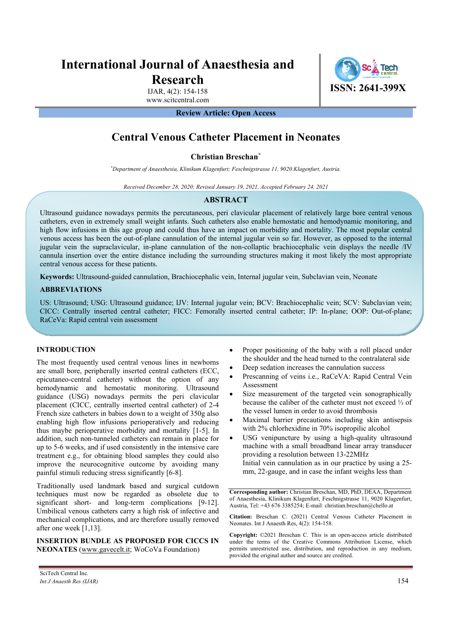# **International Journal of Anaesthesia and Research**

IJAR, 4(2): 154-158 www.scitcentral.com **ISSN: 2641-399X**

### **Review Article: Open Access**

## **Central Venous Catheter Placement in Neonates**

#### **Christian Breschan\***

*\* Department of Anaesthesia, Klinikum Klagenfurt; Feschnigstrasse 11, 9020 Klagenfurt, Austria.* 

*Received December 28, 2020; Revised January 19, 2021, Accepted February 24, 2021* 

#### **ABSTRACT**

Ultrasound guidance nowadays permits the percutaneous, peri clavicular placement of relatively large bore central venous catheters, even in extremely small weight infants. Such catheters also enable hemostatic and hemodynamic monitoring, and high flow infusions in this age group and could thus have an impact on morbidity and mortality. The most popular central venous access has been the out-of-plane cannulation of the internal jugular vein so far. However, as opposed to the internal jugular vein the supraclavicular, in-plane cannulation of the non-collaptic brachiocephalic vein displays the needle /IV cannula insertion over the entire distance including the surrounding structures making it most likely the most appropriate central venous access for these patients.

**Keywords:** Ultrasound-guided cannulation, Brachiocephalic vein, Internal jugular vein, Subclavian vein, Neonate

#### **ABBREVIATIONS**

US: Ultrasound; USG: Ultrasound guidance; IJV: Internal jugular vein; BCV: Brachiocephalic vein; SCV: Subclavian vein; CICC: Centrally inserted central catheter; FICC: Femorally inserted central catheter; IP: In-plane; OOP: Out-of-plane; RaCeVa: Rapid central vein assessment

#### **INTRODUCTION**

The most frequently used central venous lines in newborns are small bore, peripherally inserted central catheters (ECC, epicutaneo-central catheter) without the option of any hemodynamic and hemostatic monitoring. Ultrasound guidance (USG) nowadays permits the peri clavicular placement (CICC, centrally inserted central catheter) of 2-4 French size catheters in babies down to a weight of 350g also enabling high flow infusions perioperatively and reducing thus maybe perioperative morbidity and mortality [1-5]. In addition, such non-tunneled catheters can remain in place for up to 5-6 weeks, and if used consistently in the intensive care treatment e.g., for obtaining blood samples they could also improve the neurocognitive outcome by avoiding many painful stimuli reducing stress significantly [6-8].

Traditionally used landmark based and surgical cutdown techniques must now be regarded as obsolete due to significant short- and long-term complications [9-12]. Umbilical venous catheters carry a high risk of infective and mechanical complications, and are therefore usually removed after one week [1,13].

**INSERTION BUNDLE AS PROPOSED FOR CICCS IN NEONATES** (www.gavecelt.it; WoCoVa Foundation)

- Proper positioning of the baby with a roll placed under the shoulder and the head turned to the contralateral side
- Deep sedation increases the cannulation success
- Prescanning of veins i.e., RaCeVA: Rapid Central Vein Assessment
- Size measurement of the targeted vein sonographically because the caliber of the catheter must not exceed ⅓ of the vessel lumen in order to avoid thrombosis
- Maximal barrier precautions including skin antisepsis with 2% chlorhexidine in 70% isopropilic alcohol
- USG venipuncture by using a high-quality ultrasound machine with a small broadband linear array transducer providing a resolution between 13-22MHz Initial vein cannulation as in our practice by using a 25 mm, 22-gauge, and in case the infant weighs less than

**Corresponding author:** Christian Breschan, MD, PhD, DEAA, Department of Anaesthesia, Klinikum Klagenfurt, Feschnigstrasse 11, 9020 Klagenfurt, Austria, Tel: +43 676 3385254; E-mail: christian.breschan@chello.at

**Citation:** Breschan C. (2021) Central Venous Catheter Placement in Neonates. Int J Anaesth Res, 4(2): 154-158.

**Copyright:** ©2021 Breschan C. This is an open-access article distributed under the terms of the Creative Commons Attribution License, which permits unrestricted use, distribution, and reproduction in any medium, provided the original author and source are credited.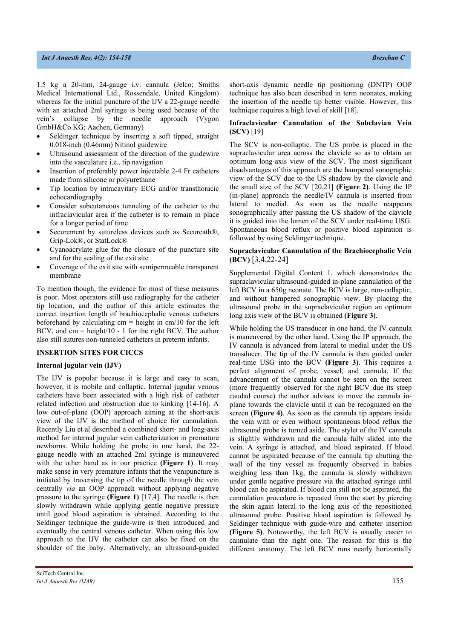1.5 kg a 20-mm, 24-gauge i.v. cannula (Jelco; Smiths Medical International Ltd., Rossendale, United Kingdom) whereas for the initial puncture of the IJV a 22-gauge needle with an attached 2ml syringe is being used because of the vein's collapse by the needle approach (Vygon GmbH&Co.KG; Aachen, Germany)

- Seldinger technique by inserting a soft tipped, straight 0.018-inch (0.46mm) Nitinol guidewire
- Ultrasound assessment of the direction of the guidewire into the vasculature i.e., tip navigation
- Insertion of preferably power injectable 2-4 Fr catheters made from silicone or polyurethane
- Tip location by intracavitary ECG and/or transthoracic echocardiography
- Consider subcutaneous tunneling of the catheter to the infraclavicular area if the catheter is to remain in place for a longer period of time
- Securement by sutureless devices such as Securcath®, Grip-Lok®, or StatLock®
- Cyanoacrylate glue for the closure of the puncture site and for the sealing of the exit site
- Coverage of the exit site with semipermeable transparent membrane

To mention though, the evidence for most of these measures is poor. Most operators still use radiography for the catheter tip location, and the author of this article estimates the correct insertion length of brachiocephalic venous catheters beforehand by calculating  $cm = height$  in  $cm/10$  for the left BCV, and cm = height/10 - 1 for the right BCV. The author also still sutures non-tunneled catheters in preterm infants.

#### **INSERTION SITES FOR CICCS**

#### **Internal jugular vein (IJV)**

The IJV is popular because it is large and easy to scan, however, it is mobile and collaptic. Internal jugular venous catheters have been associated with a high risk of catheter related infection and obstruction due to kinking [14-16]. A low out-of-plane (OOP) approach aiming at the short-axis view of the IJV is the method of choice for cannulation. Recently Liu et al described a combined short- and long-axis method for internal jugular vein catheterization in premature newborns. While holding the probe in one hand, the 22 gauge needle with an attached 2ml syringe is maneuvered with the other hand as in our practice **(Figure 1)**. It may make sense in very premature infants that the venipuncture is initiated by traversing the tip of the needle through the vein centrally *via* an OOP approach without applying negative pressure to the syringe **(Figure 1)** [17,4]. The needle is then slowly withdrawn while applying gentle negative pressure until good blood aspiration is obtained. According to the Seldinger technique the guide-wire is then introduced and eventually the central venous catheter. When using this low approach to the IJV the catheter can also be fixed on the shoulder of the baby. Alternatively, an ultrasound-guided short-axis dynamic needle tip positioning (DNTP) OOP technique has also been described in term neonates, making the insertion of the needle tip better visible. However, this technique requires a high level of skill [18].

#### **Infraclavicular Cannulation of the Subclavian Vein (SCV)** [19]

The SCV is non-collaptic. The US probe is placed in the supraclavicular area across the clavicle so as to obtain an optimum long-axis view of the SCV. The most significant disadvantages of this approach are the hampered sonographic view of the SCV due to the US shadow by the clavicle and the small size of the SCV [20,21] **(Figure 2)**. Using the IP (in-plane) approach the needle/IV cannula is inserted from lateral to medial. As soon as the needle reappears sonographically after passing the US shadow of the clavicle it is guided into the lumen of the SCV under real-time USG. Spontaneous blood reflux or positive blood aspiration is followed by using Seldinger technique.

#### **Supraclavicular Cannulation of the Brachiocephalic Vein (BCV)** [3,4,22-24]

Supplemental Digital Content 1, which demonstrates the supraclavicular ultrasound-guided in-plane cannulation of the left BCV in a 650g neonate. The BCV is large, non-collaptic, and without hampered sonographic view. By placing the ultrasound probe in the supraclavicular region an optimum long axis view of the BCV is obtained **(Figure 3)**.

While holding the US transducer in one hand, the IV cannula is maneuvered by the other hand. Using the IP approach, the IV cannula is advanced from lateral to medial under the US transducer. The tip of the IV cannula is then guided under real-time USG into the BCV **(Figure 3)**. This requires a perfect alignment of probe, vessel, and cannula. If the advancement of the cannula cannot be seen on the screen (more frequently observed for the right BCV due its steep caudad course) the author advises to move the cannula inplane towards the clavicle until it can be recognized on the screen **(Figure 4)**. As soon as the cannula tip appears inside the vein with or even without spontaneous blood reflux the ultrasound probe is turned aside. The stylet of the IV cannula is slightly withdrawn and the cannula fully slided into the vein. A syringe is attached, and blood aspirated. If blood cannot be aspirated because of the cannula tip abutting the wall of the tiny vessel as frequently observed in babies weighing less than 1kg, the cannula is slowly withdrawn under gentle negative pressure via the attached syringe until blood can be aspirated. If blood can still not be aspirated, the cannulation procedure is repeated from the start by piercing the skin again lateral to the long axis of the repositioned ultrasound probe. Positive blood aspiration is followed by Seldinger technique with guide-wire and catheter insertion **(Figure 5)**. Noteworthy, the left BCV is usually easier to cannulate than the right one. The reason for this is the different anatomy. The left BCV runs nearly horizontally

SciTech Central Inc*. Int J Anaesth Res (IJAR)* 155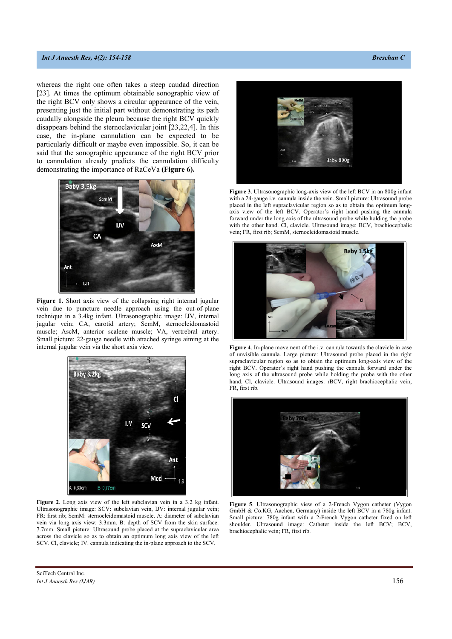#### *Int J Anaesth Res, 4(2): 154-158* **Breschan C** *Breschan C* **<b>Breschan C Breschan C Breschan C Breschan C Breschan C Breschan C Breschan C Breschan C Breschan C Breschan C Breschan C Breschan C Bresc**

whereas the right one often takes a steep caudad direction [23]. At times the optimum obtainable sonographic view of the right BCV only shows a circular appearance of the vein, presenting just the initial part without demonstrating its path caudally alongside the pleura because the right BCV quickly disappears behind the sternoclavicular joint [23,22,4]. In this case, the in-plane cannulation can be expected to be particularly difficult or maybe even impossible. So, it can be said that the sonographic appearance of the right BCV prior to cannulation already predicts the cannulation difficulty demonstrating the importance of RaCeVa **(Figure 6).** 



**Figure 1.** Short axis view of the collapsing right internal jugular vein due to puncture needle approach using the out-of-plane technique in a 3.4kg infant. Ultrasonographic image: IJV, internal jugular vein; CA, carotid artery; ScmM, sternocleidomastoid muscle; AscM, anterior scalene muscle; VA, vertrebral artery. Small picture: 22-gauge needle with attached syringe aiming at the internal jugular vein via the short axis view.



**Figure 2**. Long axis view of the left subclavian vein in a 3.2 kg infant. Ultrasonographic image: SCV: subclavian vein, IJV: internal jugular vein; FR: first rib; ScmM: sternocleidomastoid muscle. A: diameter of subclavian vein via long axis view: 3.3mm. B: depth of SCV from the skin surface: 7.7mm. Small picture: Ultrasound probe placed at the supraclavicular area across the clavicle so as to obtain an optimum long axis view of the left SCV. Cl, clavicle; IV. cannula indicating the in-plane approach to the SCV.



**Figure 3**. Ultrasonographic long-axis view of the left BCV in an 800g infant with a 24-gauge i.v. cannula inside the vein. Small picture: Ultrasound probe placed in the left supraclavicular region so as to obtain the optimum longaxis view of the left BCV. Operator's right hand pushing the cannula forward under the long axis of the ultrasound probe while holding the probe with the other hand. Cl, clavicle. Ultrasound image: BCV, brachiocephalic vein; FR, first rib; ScmM, sternocleidomastoid muscle.



**Figure 4**. In-plane movement of the i.v. cannula towards the clavicle in case of unvisible cannula. Large picture: Ultrasound probe placed in the right supraclavicular region so as to obtain the optimum long-axis view of the right BCV. Operator's right hand pushing the cannula forward under the long axis of the ultrasound probe while holding the probe with the other hand. Cl, clavicle. Ultrasound images: rBCV, right brachiocephalic vein; FR, first rib.



**Figure 5**. Ultrasonographic view of a 2-French Vygon catheter (Vygon GmbH & Co.KG, Aachen, Germany) inside the left BCV in a 780g infant. Small picture: 780g infant with a 2-French Vygon catheter fixed on left shoulder. Ultrasound image: Catheter inside the left BCV; BCV, brachiocephalic vein; FR, first rib.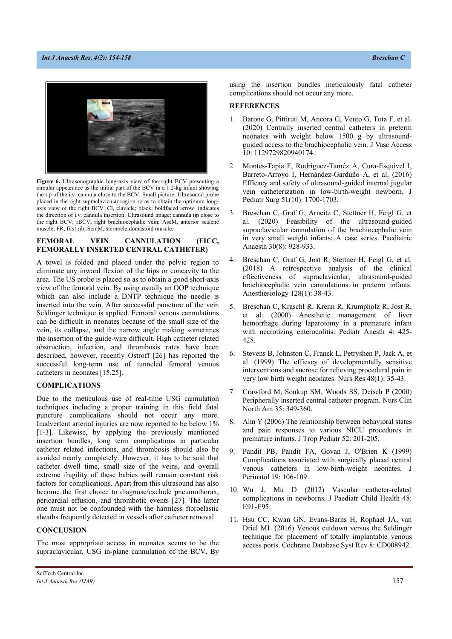#### *Int J Anaesth Res, 4(2): 154-158* **Breschan C** *Breschan C* **<b>Breschan C Breschan C Breschan C Breschan C Breschan C Breschan C Breschan C Breschan C Breschan C Breschan C Breschan C Breschan C Bresc**



**Figure 6.** Ultrasonographic long-axis view of the right BCV presenting a circular appearance as the initial part of the BCV in a 1.2-kg infant showing the tip of the i.v. cannula close to the BCV. Small picture: Ultrasound probe placed in the right supraclavicular region so as to obtain the optimum longaxis view of the right BCV. Cl, clavicle; black, boldfaced arrow: indicates the direction of i.v. cannula insertion. Ultrasound image: cannula tip close to the right BCV; rBCV, right brachiocephalic vein; AscM, anterior scalene muscle; FR, first rib; ScmM, sternocleidomastoid muscle.

#### **FEMORAL VEIN CANNULATION (FICC, FEMORALLY INSERTED CENTRAL CATHETER)**

A towel is folded and placed under the pelvic region to eliminate any inward flexion of the hips or concavity to the area. The US probe is placed so as to obtain a good short-axis view of the femoral vein. By using usually an OOP technique which can also include a DNTP technique the needle is inserted into the vein. After successful puncture of the vein Seldinger technique is applied. Femoral venous cannulations can be difficult in neonates because of the small size of the vein, its collapse, and the narrow angle making sometimes the insertion of the guide-wire difficult. High catheter related obstruction, infection, and thrombosis rates have been described, however, recently Ostroff [26] has reported the successful long-term use of tunneled femoral venous catheters in neonates [15,25].

#### **COMPLICATIONS**

Due to the meticulous use of real-time USG cannulation techniques including a proper training in this field fatal puncture complications should not occur any more. Inadvertent arterial injuries are now reported to be below 1% [1-3]. Likewise, by applying the previously mentioned insertion bundles, long term complications in particular catheter related infections, and thrombosis should also be avoided nearly completely. However, it has to be said that catheter dwell time, small size of the veins, and overall extreme fragility of these babies will remain constant risk factors for complications. Apart from this ultrasound has also become the first choice to diagnose/exclude pneumothorax, pericardial effusion, and thrombotic events [27]. The latter one must not be confounded with the harmless fibroelastic sheaths frequently detected in vessels after catheter removal.

#### **CONCLUSION**

The most appropriate access in neonates seems to be the supraclavicular, USG in-plane cannulation of the BCV. By

using the insertion bundles meticulously fatal catheter complications should not occur any more.

#### **REFERENCES**

- Barone G, Pittiruti M, Ancora G, Vento G, Tota F, et al. (2020) Centrally inserted central catheters in preterm neonates with weight below 1500 g by ultrasoundguided access to the brachiocephalic vein. J Vasc Access 10: 1129729820940174.
- 2. Montes-Tapia F, Rodríguez-Taméz A, Cura-Esquivel I, Barreto-Arroyo I, Hernández-Garduño A, et al. (2016) Efficacy and safety of ultrasound-guided internal jugular vein catheterization in low-birth-weight newborn. J Pediatr Surg 51(10): 1700-1703.
- 3. Breschan C, Graf G, Arneitz C, Stettner H, Feigl G, et al. (2020) Feasibility of the ultrasound-guided supraclavicular cannulation of the brachiocephalic vein in very small weight infants: A case series. Paediatric Anaesth 30(8): 928-933.
- 4. Breschan C, Graf G, Jost R, Stettner H, Feigl G, et al. (2018) A retrospective analysis of the clinical effectiveness of supraclavicular, ultrasound-guided brachiocephalic vein cannulations in preterm infants. Anesthesiology 128(1): 38-43.
- 5. Breschan C, Kraschl R, Krenn R, Krumpholz R, Jost R, et al. (2000) Anesthetic management of liver hemorrhage during laparotomy in a premature infant with necrotizing enterocolitis. Pediatr Anesth 4: 425- 428.
- 6. Stevens B, Johnston C, Franck L, Petryshen P, Jack A, et al. (1999) The efficacy of developmentally sensitive interventions and sucrose for relieving procedural pain in very low birth weight neonates. Nurs Res 48(1): 35-43.
- 7. Crawford M, Soukup SM, Woods SS, Deisch P (2000) Peripherally inserted central catheter program. Nurs Clin North Am 35: 349-360.
- 8. Ahn Y (2006) The relationship between behavioral states and pain responses to various NICU procedures in premature infants. J Trop Pediatr 52: 201-205.
- 9. Pandit PB, Pandit FA, Govan J, O'Brien K (1999) Complications associated with surgically placed central venous catheters in low-birth-weight neonates. J Perinatol 19: 106-109.
- 10. Wu J, Mu D (2012) Vascular catheter-related complications in newborns. J Paediatr Child Health 48: E91-E95.
- 11. Hsu CC, Kwan GN, Evans-Barns H, Rophael JA, van Driel ML (2016) Venous cutdown versus the Seldinger technique for placement of totally implantable venous access ports. Cochrane Database Syst Rev 8: CD008942.